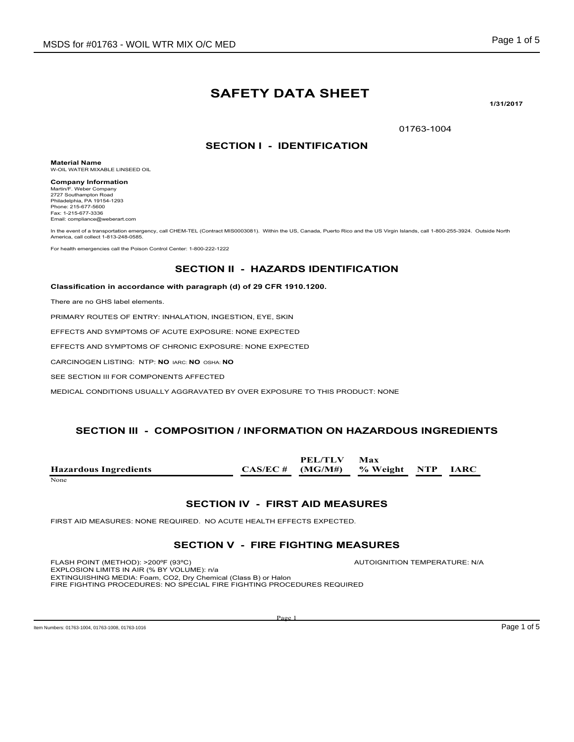# **SAFETY DATA SHEET**

**1/31/2017**

01763-1004

#### **SECTION I - IDENTIFICATION**

**Material Name** W-OIL WATER MIXABLE LINSEED OIL

**Company Information** Martin/F. Weber Company 2727 Southampton Road Philadelphia, PA 19154-1293 Phone: 215-677-5600 Fax: 1-215-677-3336 Email: compliance@weberart.com

In the event of a transportation emergency, call CHEM-TEL (Contract MIS0003081). Within the US, Canada, Puerto Rico and the US Virgin Islands, call 1-800-255-3924. Outside North America, call collect 1-813-248-0585

For health emergencies call the Poison Control Center: 1-800-222-1222

#### **SECTION II - HAZARDS IDENTIFICATION**

#### **Classification in accordance with paragraph (d) of 29 CFR 1910.1200.**

There are no GHS label elements.

PRIMARY ROUTES OF ENTRY: INHALATION, INGESTION, EYE, SKIN

EFFECTS AND SYMPTOMS OF ACUTE EXPOSURE: NONE EXPECTED

EFFECTS AND SYMPTOMS OF CHRONIC EXPOSURE: NONE EXPECTED

CARCINOGEN LISTING: NTP: **NO** IARC: **NO** OSHA: **NO**

SEE SECTION III FOR COMPONENTS AFFECTED

MEDICAL CONDITIONS USUALLY AGGRAVATED BY OVER EXPOSURE TO THIS PRODUCT: NONE

#### **SECTION III - COMPOSITION / INFORMATION ON HAZARDOUS INGREDIENTS**

**Hazardous Ingredients CAS/EC # PEL/TLV (MG/M#) Max % Weight NTP IARC** None and the set of the set of the set of the set of the set of the set of the set of the set of the set of the set of the set of the set of the set of the set of the set of the set of the set of the set of the set of the

#### **SECTION IV - FIRST AID MEASURES**

FIRST AID MEASURES: NONE REQUIRED. NO ACUTE HEALTH EFFECTS EXPECTED.

#### **SECTION V - FIRE FIGHTING MEASURES**

FLASH POINT (METHOD): >200ºF (93ºC) AUTOIGNITION TEMPERATURE: N/A EXPLOSION LIMITS IN AIR (% BY VOLUME): n/a EXTINGUISHING MEDIA: Foam, CO2, Dry Chemical (Class B) or Halon FIRE FIGHTING PROCEDURES: NO SPECIAL FIRE FIGHTING PROCEDURES REQUIRED

Item Numbers: 01763-1004, 01763-1008, 01763-1016 **Page 1 of 5** Page 1 of 5

Page 1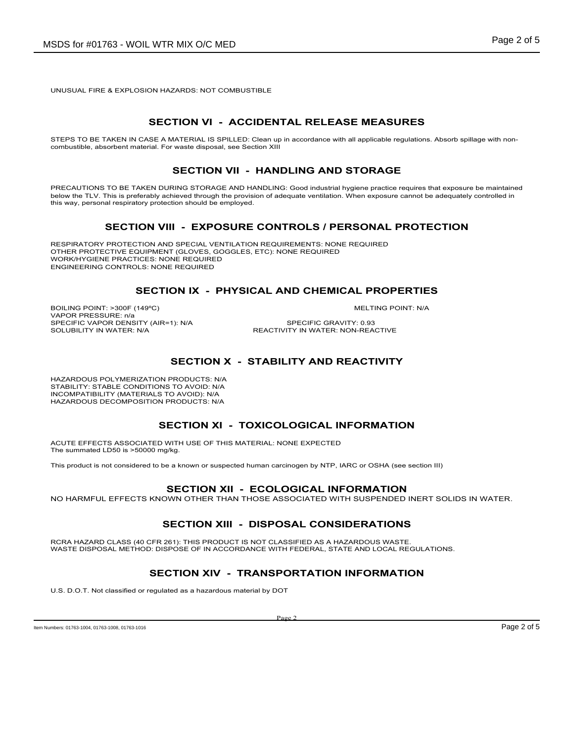UNUSUAL FIRE & EXPLOSION HAZARDS: NOT COMBUSTIBLE

# **SECTION VI - ACCIDENTAL RELEASE MEASURES**

STEPS TO BE TAKEN IN CASE A MATERIAL IS SPILLED: Clean up in accordance with all applicable regulations. Absorb spillage with noncombustible, absorbent material. For waste disposal, see Section XIII

#### **SECTION VII - HANDLING AND STORAGE**

PRECAUTIONS TO BE TAKEN DURING STORAGE AND HANDLING: Good industrial hygiene practice requires that exposure be maintained below the TLV. This is preferably achieved through the provision of adequate ventilation. When exposure cannot be adequately controlled in this way, personal respiratory protection should be employed.

#### **SECTION VIII - EXPOSURE CONTROLS / PERSONAL PROTECTION**

RESPIRATORY PROTECTION AND SPECIAL VENTILATION REQUIREMENTS: NONE REQUIRED OTHER PROTECTIVE EQUIPMENT (GLOVES, GOGGLES, ETC): NONE REQUIRED WORK/HYGIENE PRACTICES: NONE REQUIRED ENGINEERING CONTROLS: NONE REQUIRED

# **SECTION IX - PHYSICAL AND CHEMICAL PROPERTIES**

BOILING POINT: >300F (149°C) NELTING POINT: N/A VAPOR PRESSURE: n/a SPECIFIC VAPOR DENSITY (AIR=1): N/A SPECIFIC GRAVITY: 0.93

SOLUBILITY IN WATER: N/A **REACTIVITY IN WATER: NON-REACTIVE** 

# **SECTION X - STABILITY AND REACTIVITY**

HAZARDOUS POLYMERIZATION PRODUCTS: N/A STABILITY: STABLE CONDITIONS TO AVOID: N/A INCOMPATIBILITY (MATERIALS TO AVOID): N/A HAZARDOUS DECOMPOSITION PRODUCTS: N/A

# **SECTION XI - TOXICOLOGICAL INFORMATION**

ACUTE EFFECTS ASSOCIATED WITH USE OF THIS MATERIAL: NONE EXPECTED The summated LD50 is >50000 mg/kg.

This product is not considered to be a known or suspected human carcinogen by NTP, IARC or OSHA (see section III)

# **SECTION XII - ECOLOGICAL INFORMATION**

NO HARMFUL EFFECTS KNOWN OTHER THAN THOSE ASSOCIATED WITH SUSPENDED INERT SOLIDS IN WATER.

# **SECTION XIII - DISPOSAL CONSIDERATIONS**

RCRA HAZARD CLASS (40 CFR 261): THIS PRODUCT IS NOT CLASSIFIED AS A HAZARDOUS WASTE. WASTE DISPOSAL METHOD: DISPOSE OF IN ACCORDANCE WITH FEDERAL, STATE AND LOCAL REGULATIONS.

# **SECTION XIV - TRANSPORTATION INFORMATION**

U.S. D.O.T. Not classified or regulated as a hazardous material by DOT

Item Numbers: 01763-1004, 01763-1008, 01763-1016 **Page 2 of 5** Page 2 of 5

Page 2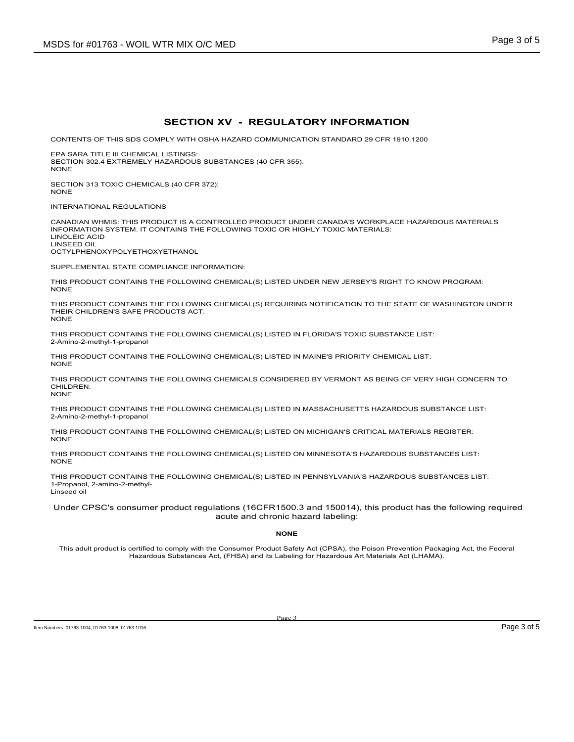#### **SECTION XV - REGULATORY INFORMATION**

CONTENTS OF THIS SDS COMPLY WITH OSHA HAZARD COMMUNICATION STANDARD 29 CFR 1910.1200

EPA SARA TITLE III CHEMICAL LISTINGS: SECTION 302.4 EXTREMELY HAZARDOUS SUBSTANCES (40 CFR 355): NONE

SECTION 313 TOXIC CHEMICALS (40 CFR 372): **NONE** 

INTERNATIONAL REGULATIONS

CANADIAN WHMIS: THIS PRODUCT IS A CONTROLLED PRODUCT UNDER CANADA'S WORKPLACE HAZARDOUS MATERIALS INFORMATION SYSTEM. IT CONTAINS THE FOLLOWING TOXIC OR HIGHLY TOXIC MATERIALS: LINOLEIC ACID LINSEED OIL

OCTYLPHENOXYPOLYETHOXYETHANOL

SUPPLEMENTAL STATE COMPLIANCE INFORMATION:

THIS PRODUCT CONTAINS THE FOLLOWING CHEMICAL(S) LISTED UNDER NEW JERSEY'S RIGHT TO KNOW PROGRAM: NONE

THIS PRODUCT CONTAINS THE FOLLOWING CHEMICAL(S) REQUIRING NOTIFICATION TO THE STATE OF WASHINGTON UNDER THEIR CHILDREN'S SAFE PRODUCTS ACT: NONE

THIS PRODUCT CONTAINS THE FOLLOWING CHEMICAL(S) LISTED IN FLORIDA'S TOXIC SUBSTANCE LIST: 2-Amino-2-methyl-1-propanol

THIS PRODUCT CONTAINS THE FOLLOWING CHEMICAL(S) LISTED IN MAINE'S PRIORITY CHEMICAL LIST: NONE

THIS PRODUCT CONTAINS THE FOLLOWING CHEMICALS CONSIDERED BY VERMONT AS BEING OF VERY HIGH CONCERN TO CHILDREN: **NONE** 

THIS PRODUCT CONTAINS THE FOLLOWING CHEMICAL(S) LISTED IN MASSACHUSETTS HAZARDOUS SUBSTANCE LIST: 2-Amino-2-methyl-1-propanol

THIS PRODUCT CONTAINS THE FOLLOWING CHEMICAL(S) LISTED ON MICHIGAN'S CRITICAL MATERIALS REGISTER: **NONE** 

THIS PRODUCT CONTAINS THE FOLLOWING CHEMICAL(S) LISTED ON MINNESOTA'S HAZARDOUS SUBSTANCES LIST: NONE

THIS PRODUCT CONTAINS THE FOLLOWING CHEMICAL(S) LISTED IN PENNSYLVANIA'S HAZARDOUS SUBSTANCES LIST: 1-Propanol, 2-amino-2-methyl-Linseed oil

Under CPSC's consumer product regulations (16CFR1500.3 and 150014), this product has the following required acute and chronic hazard labeling:

**NONE**

This adult product is certified to comply with the Consumer Product Safety Act (CPSA), the Poison Prevention Packaging Act, the Federal Hazardous Substances Act, (FHSA) and its Labeling for Hazardous Art Materials Act (LHAMA).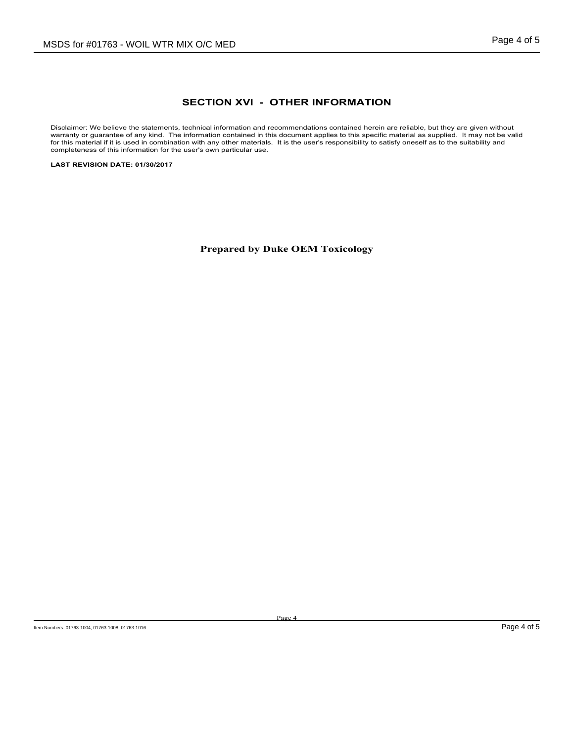# **SECTION XVI - OTHER INFORMATION**

Disclaimer: We believe the statements, technical information and recommendations contained herein are reliable, but they are given without warranty or guarantee of any kind. The information contained in this document applies to this specific material as supplied. It may not be valid for this material if it is used in combination with any other materials. It is the user's responsibility to satisfy oneself as to the suitability and completeness of this information for the user's own particular use.

**LAST REVISION DATE: 01/30/2017**

**Prepared by Duke OEM Toxicology**